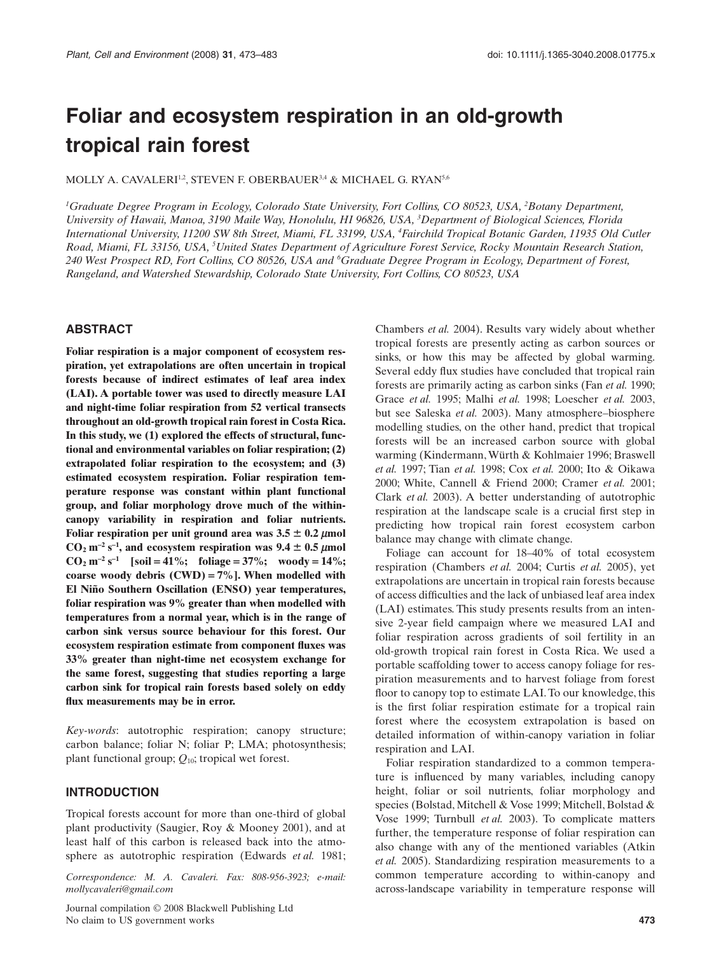# **Foliar and ecosystem respiration in an old-growth tropical rain forest**

MOLLY A. CAVALERI<sup>1,2</sup>, STEVEN F. OBERBAUER<sup>3,4</sup> & MICHAEL G. RYAN<sup>5,6</sup>

*1 Graduate Degree Program in Ecology, Colorado State University, Fort Collins, CO 80523, USA, <sup>2</sup> Botany Department, University of Hawaii, Manoa, 3190 Maile Way, Honolulu, HI 96826, USA, <sup>3</sup> Department of Biological Sciences, Florida International University, 11200 SW 8th Street, Miami, FL 33199, USA, <sup>4</sup> Fairchild Tropical Botanic Garden, 11935 Old Cutler Road, Miami, FL 33156, USA, <sup>5</sup> United States Department of Agriculture Forest Service, Rocky Mountain Research Station, 240 West Prospect RD, Fort Collins, CO 80526, USA and <sup>6</sup> Graduate Degree Program in Ecology, Department of Forest, Rangeland, and Watershed Stewardship, Colorado State University, Fort Collins, CO 80523, USA*

# **ABSTRACT**

**Foliar respiration is a major component of ecosystem respiration, yet extrapolations are often uncertain in tropical forests because of indirect estimates of leaf area index (LAI). A portable tower was used to directly measure LAI and night-time foliar respiration from 52 vertical transects throughout an old-growth tropical rain forest in Costa Rica. In this study, we (1) explored the effects of structural, functional and environmental variables on foliar respiration; (2) extrapolated foliar respiration to the ecosystem; and (3) estimated ecosystem respiration. Foliar respiration temperature response was constant within plant functional group, and foliar morphology drove much of the withincanopy variability in respiration and foliar nutrients.** Foliar respiration per unit ground area was  $3.5 \pm 0.2 \ \mu$ mol  $CO_2$  m<sup>-2</sup> s<sup>-1</sup>, and ecosystem respiration was 9.4  $\pm$  0.5  $\mu$ mol **CO<sub>2</sub>**  $m^{-2} s^{-1}$  [soil = 41%; foliage = 37%; woody = 14%; **coarse woody debris (CWD)** = **7%]. When modelled with El Niño Southern Oscillation (ENSO) year temperatures, foliar respiration was 9% greater than when modelled with temperatures from a normal year, which is in the range of carbon sink versus source behaviour for this forest. Our ecosystem respiration estimate from component fluxes was 33% greater than night-time net ecosystem exchange for the same forest, suggesting that studies reporting a large carbon sink for tropical rain forests based solely on eddy flux measurements may be in error.**

*Key-words*: autotrophic respiration; canopy structure; carbon balance; foliar N; foliar P; LMA; photosynthesis; plant functional group; *Q*10; tropical wet forest.

#### **INTRODUCTION**

Tropical forests account for more than one-third of global plant productivity (Saugier, Roy & Mooney 2001), and at least half of this carbon is released back into the atmosphere as autotrophic respiration (Edwards *et al.* 1981;

*Correspondence: M. A. Cavaleri. Fax: 808-956-3923; e-mail: [mollycavaleri@gmail.com](mailto:mollycavaleri@gmail.com)*

Journal compilation © 2008 Blackwell Publishing Ltd No claim to US government works **473**

Chambers *et al.* 2004). Results vary widely about whether tropical forests are presently acting as carbon sources or sinks, or how this may be affected by global warming. Several eddy flux studies have concluded that tropical rain forests are primarily acting as carbon sinks (Fan *et al.* 1990; Grace *et al.* 1995; Malhi *et al.* 1998; Loescher *et al.* 2003, but see Saleska *et al.* 2003). Many atmosphere–biosphere modelling studies, on the other hand, predict that tropical forests will be an increased carbon source with global warming (Kindermann,Würth & Kohlmaier 1996; Braswell *et al.* 1997; Tian *et al.* 1998; Cox *et al.* 2000; Ito & Oikawa 2000; White, Cannell & Friend 2000; Cramer *et al.* 2001; Clark *et al.* 2003). A better understanding of autotrophic respiration at the landscape scale is a crucial first step in predicting how tropical rain forest ecosystem carbon balance may change with climate change.

Foliage can account for 18–40% of total ecosystem respiration (Chambers *et al.* 2004; Curtis *et al.* 2005), yet extrapolations are uncertain in tropical rain forests because of access difficulties and the lack of unbiased leaf area index (LAI) estimates. This study presents results from an intensive 2-year field campaign where we measured LAI and foliar respiration across gradients of soil fertility in an old-growth tropical rain forest in Costa Rica. We used a portable scaffolding tower to access canopy foliage for respiration measurements and to harvest foliage from forest floor to canopy top to estimate LAI.To our knowledge, this is the first foliar respiration estimate for a tropical rain forest where the ecosystem extrapolation is based on detailed information of within-canopy variation in foliar respiration and LAI.

Foliar respiration standardized to a common temperature is influenced by many variables, including canopy height, foliar or soil nutrients, foliar morphology and species (Bolstad, Mitchell & Vose 1999; Mitchell, Bolstad & Vose 1999; Turnbull *et al.* 2003). To complicate matters further, the temperature response of foliar respiration can also change with any of the mentioned variables (Atkin *et al.* 2005). Standardizing respiration measurements to a common temperature according to within-canopy and across-landscape variability in temperature response will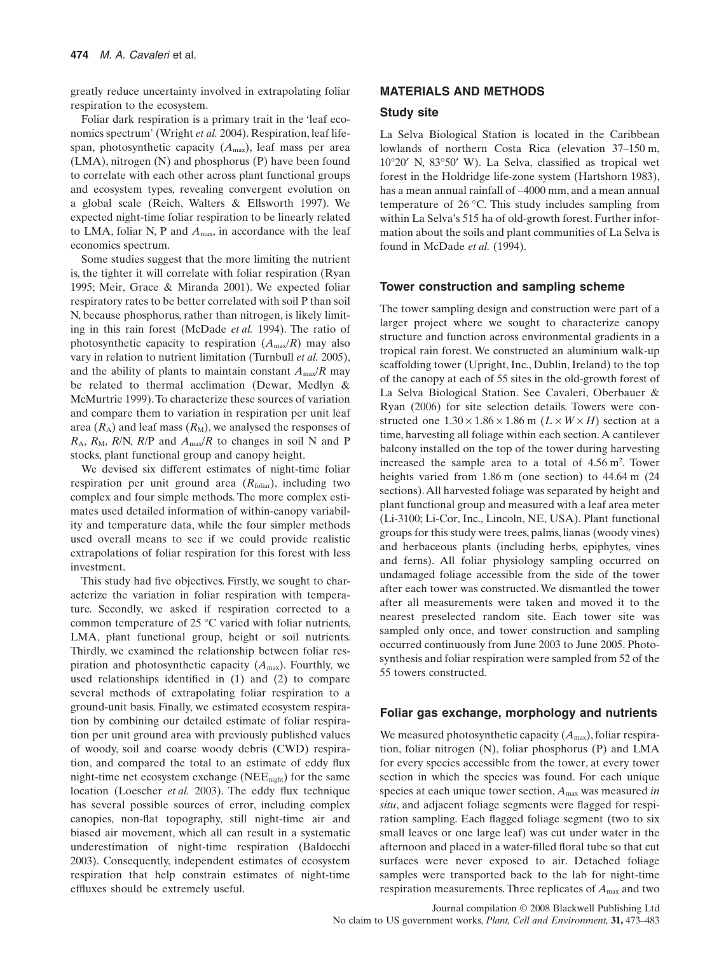greatly reduce uncertainty involved in extrapolating foliar respiration to the ecosystem.

Foliar dark respiration is a primary trait in the 'leaf economics spectrum' (Wright *et al.* 2004). Respiration, leaf lifespan, photosynthetic capacity  $(A<sub>max</sub>)$ , leaf mass per area (LMA), nitrogen (N) and phosphorus (P) have been found to correlate with each other across plant functional groups and ecosystem types, revealing convergent evolution on a global scale (Reich, Walters & Ellsworth 1997). We expected night-time foliar respiration to be linearly related to LMA, foliar N, P and *A*max, in accordance with the leaf economics spectrum.

Some studies suggest that the more limiting the nutrient is, the tighter it will correlate with foliar respiration (Ryan 1995; Meir, Grace & Miranda 2001). We expected foliar respiratory rates to be better correlated with soil P than soil N, because phosphorus, rather than nitrogen, is likely limiting in this rain forest (McDade *et al.* 1994). The ratio of photosynthetic capacity to respiration  $(A_{\text{max}}/R)$  may also vary in relation to nutrient limitation (Turnbull *et al.* 2005), and the ability of plants to maintain constant  $A_{\text{max}}/R$  may be related to thermal acclimation (Dewar, Medlyn & McMurtrie 1999).To characterize these sources of variation and compare them to variation in respiration per unit leaf area  $(R_A)$  and leaf mass  $(R_M)$ , we analysed the responses of  $R_A$ ,  $R_M$ ,  $R/N$ ,  $R/P$  and  $A_{max}/R$  to changes in soil N and P stocks, plant functional group and canopy height.

We devised six different estimates of night-time foliar respiration per unit ground area  $(R_{\text{foliar}})$ , including two complex and four simple methods. The more complex estimates used detailed information of within-canopy variability and temperature data, while the four simpler methods used overall means to see if we could provide realistic extrapolations of foliar respiration for this forest with less investment.

This study had five objectives. Firstly, we sought to characterize the variation in foliar respiration with temperature. Secondly, we asked if respiration corrected to a common temperature of 25 °C varied with foliar nutrients, LMA, plant functional group, height or soil nutrients. Thirdly, we examined the relationship between foliar respiration and photosynthetic capacity (*A*max). Fourthly, we used relationships identified in (1) and (2) to compare several methods of extrapolating foliar respiration to a ground-unit basis. Finally, we estimated ecosystem respiration by combining our detailed estimate of foliar respiration per unit ground area with previously published values of woody, soil and coarse woody debris (CWD) respiration, and compared the total to an estimate of eddy flux night-time net ecosystem exchange (NEEnight) for the same location (Loescher *et al.* 2003). The eddy flux technique has several possible sources of error, including complex canopies, non-flat topography, still night-time air and biased air movement, which all can result in a systematic underestimation of night-time respiration (Baldocchi 2003). Consequently, independent estimates of ecosystem respiration that help constrain estimates of night-time effluxes should be extremely useful.

## **MATERIALS AND METHODS**

#### **Study site**

La Selva Biological Station is located in the Caribbean lowlands of northern Costa Rica (elevation 37–150 m, 10°20′ N, 83°50′ W). La Selva, classified as tropical wet forest in the Holdridge life-zone system (Hartshorn 1983), has a mean annual rainfall of ~4000 mm, and a mean annual temperature of 26 °C. This study includes sampling from within La Selva's 515 ha of old-growth forest. Further information about the soils and plant communities of La Selva is found in McDade *et al.* (1994).

## **Tower construction and sampling scheme**

The tower sampling design and construction were part of a larger project where we sought to characterize canopy structure and function across environmental gradients in a tropical rain forest. We constructed an aluminium walk-up scaffolding tower (Upright, Inc., Dublin, Ireland) to the top of the canopy at each of 55 sites in the old-growth forest of La Selva Biological Station. See Cavaleri, Oberbauer & Ryan (2006) for site selection details. Towers were constructed one  $1.30 \times 1.86 \times 1.86$  m ( $L \times W \times H$ ) section at a time, harvesting all foliage within each section.A cantilever balcony installed on the top of the tower during harvesting increased the sample area to a total of  $4.56 \text{ m}^2$ . Tower heights varied from 1.86 m (one section) to 44.64 m (24) sections).All harvested foliage was separated by height and plant functional group and measured with a leaf area meter (Li-3100; Li-Cor, Inc., Lincoln, NE, USA). Plant functional groups for this study were trees, palms, lianas (woody vines) and herbaceous plants (including herbs, epiphytes, vines and ferns). All foliar physiology sampling occurred on undamaged foliage accessible from the side of the tower after each tower was constructed.We dismantled the tower after all measurements were taken and moved it to the nearest preselected random site. Each tower site was sampled only once, and tower construction and sampling occurred continuously from June 2003 to June 2005. Photosynthesis and foliar respiration were sampled from 52 of the 55 towers constructed.

## **Foliar gas exchange, morphology and nutrients**

We measured photosynthetic capacity ( $A_{\text{max}}$ ), foliar respiration, foliar nitrogen (N), foliar phosphorus (P) and LMA for every species accessible from the tower, at every tower section in which the species was found. For each unique species at each unique tower section, *A*max was measured *in situ*, and adjacent foliage segments were flagged for respiration sampling. Each flagged foliage segment (two to six small leaves or one large leaf) was cut under water in the afternoon and placed in a water-filled floral tube so that cut surfaces were never exposed to air. Detached foliage samples were transported back to the lab for night-time respiration measurements. Three replicates of *A*max and two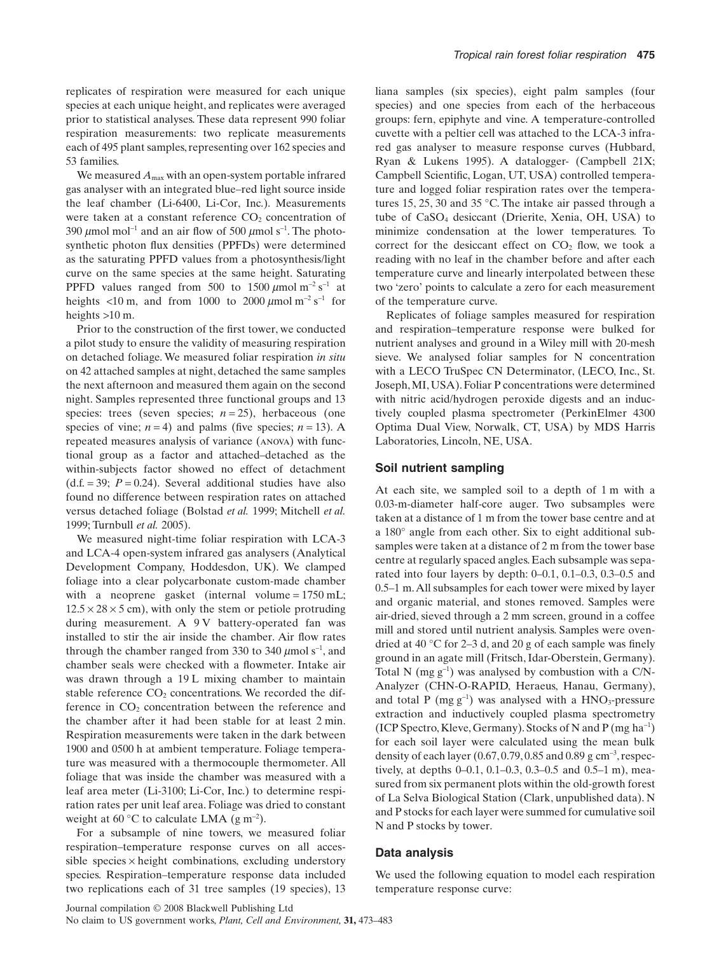replicates of respiration were measured for each unique species at each unique height, and replicates were averaged prior to statistical analyses. These data represent 990 foliar respiration measurements: two replicate measurements each of 495 plant samples, representing over 162 species and 53 families.

We measured  $A_{\text{max}}$  with an open-system portable infrared gas analyser with an integrated blue–red light source inside the leaf chamber (Li-6400, Li-Cor, Inc.). Measurements were taken at a constant reference  $CO<sub>2</sub>$  concentration of 390  $\mu$ mol mol<sup>-1</sup> and an air flow of 500  $\mu$ mol s<sup>-1</sup>. The photosynthetic photon flux densities (PPFDs) were determined as the saturating PPFD values from a photosynthesis/light curve on the same species at the same height. Saturating PPFD values ranged from 500 to 1500  $\mu$ mol m<sup>-2</sup> s<sup>-1</sup> at heights  $\langle 10 \text{ m}$ , and from 1000 to 2000  $\mu$ mol m<sup>-2</sup> s<sup>-1</sup> for heights >10 m.

Prior to the construction of the first tower, we conducted a pilot study to ensure the validity of measuring respiration on detached foliage. We measured foliar respiration *in situ* on 42 attached samples at night, detached the same samples the next afternoon and measured them again on the second night. Samples represented three functional groups and 13 species: trees (seven species;  $n = 25$ ), herbaceous (one species of vine;  $n = 4$ ) and palms (five species;  $n = 13$ ). A repeated measures analysis of variance (anova) with functional group as a factor and attached–detached as the within-subjects factor showed no effect of detachment  $(d.f. = 39; P = 0.24)$ . Several additional studies have also found no difference between respiration rates on attached versus detached foliage (Bolstad *et al.* 1999; Mitchell *et al.* 1999; Turnbull *et al.* 2005).

We measured night-time foliar respiration with LCA-3 and LCA-4 open-system infrared gas analysers (Analytical Development Company, Hoddesdon, UK). We clamped foliage into a clear polycarbonate custom-made chamber with a neoprene gasket (internal volume =  $1750$  mL;  $12.5 \times 28 \times 5$  cm), with only the stem or petiole protruding during measurement. A 9 V battery-operated fan was installed to stir the air inside the chamber. Air flow rates through the chamber ranged from 330 to 340  $\mu$ mol s<sup>-1</sup>, and chamber seals were checked with a flowmeter. Intake air was drawn through a 19 L mixing chamber to maintain stable reference  $CO<sub>2</sub>$  concentrations. We recorded the difference in  $CO<sub>2</sub>$  concentration between the reference and the chamber after it had been stable for at least 2 min. Respiration measurements were taken in the dark between 1900 and 0500 h at ambient temperature. Foliage temperature was measured with a thermocouple thermometer. All foliage that was inside the chamber was measured with a leaf area meter (Li-3100; Li-Cor, Inc.) to determine respiration rates per unit leaf area. Foliage was dried to constant weight at 60 °C to calculate LMA  $(g m<sup>-2</sup>)$ .

For a subsample of nine towers, we measured foliar respiration–temperature response curves on all accessible species  $\times$  height combinations, excluding understory species. Respiration–temperature response data included two replications each of 31 tree samples (19 species), 13

liana samples (six species), eight palm samples (four species) and one species from each of the herbaceous groups: fern, epiphyte and vine. A temperature-controlled cuvette with a peltier cell was attached to the LCA-3 infrared gas analyser to measure response curves (Hubbard, Ryan & Lukens 1995). A datalogger- (Campbell 21X; Campbell Scientific, Logan, UT, USA) controlled temperature and logged foliar respiration rates over the temperatures 15, 25, 30 and 35 °C. The intake air passed through a tube of CaSO4 desiccant (Drierite, Xenia, OH, USA) to minimize condensation at the lower temperatures. To correct for the desiccant effect on  $CO<sub>2</sub>$  flow, we took a reading with no leaf in the chamber before and after each temperature curve and linearly interpolated between these two 'zero' points to calculate a zero for each measurement of the temperature curve.

Replicates of foliage samples measured for respiration and respiration–temperature response were bulked for nutrient analyses and ground in a Wiley mill with 20-mesh sieve. We analysed foliar samples for N concentration with a LECO TruSpec CN Determinator, (LECO, Inc., St. Joseph,MI, USA). Foliar P concentrations were determined with nitric acid/hydrogen peroxide digests and an inductively coupled plasma spectrometer (PerkinElmer 4300 Optima Dual View, Norwalk, CT, USA) by MDS Harris Laboratories, Lincoln, NE, USA.

### **Soil nutrient sampling**

At each site, we sampled soil to a depth of 1 m with a 0.03-m-diameter half-core auger. Two subsamples were taken at a distance of 1 m from the tower base centre and at a 180° angle from each other. Six to eight additional subsamples were taken at a distance of 2 m from the tower base centre at regularly spaced angles. Each subsample was separated into four layers by depth: 0–0.1, 0.1–0.3, 0.3–0.5 and 0.5–1 m.All subsamples for each tower were mixed by layer and organic material, and stones removed. Samples were air-dried, sieved through a 2 mm screen, ground in a coffee mill and stored until nutrient analysis. Samples were ovendried at 40 °C for 2–3 d, and 20 g of each sample was finely ground in an agate mill (Fritsch, Idar-Oberstein, Germany). Total N  $(mg g^{-1})$  was analysed by combustion with a C/N-Analyzer (CHN-O-RAPID, Heraeus, Hanau, Germany), and total P (mg  $g^{-1}$ ) was analysed with a  $HNO<sub>3</sub>$ -pressure extraction and inductively coupled plasma spectrometry (ICP Spectro, Kleve, Germany). Stocks of N and P (mg ha-<sup>1</sup> ) for each soil layer were calculated using the mean bulk density of each layer  $(0.67, 0.79, 0.85 \text{ and } 0.89 \text{ g cm}^{-3}, \text{respect-}$ tively, at depths 0–0.1, 0.1–0.3, 0.3–0.5 and 0.5–1 m), measured from six permanent plots within the old-growth forest of La Selva Biological Station (Clark, unpublished data). N and P stocks for each layer were summed for cumulative soil N and P stocks by tower.

## **Data analysis**

We used the following equation to model each respiration temperature response curve: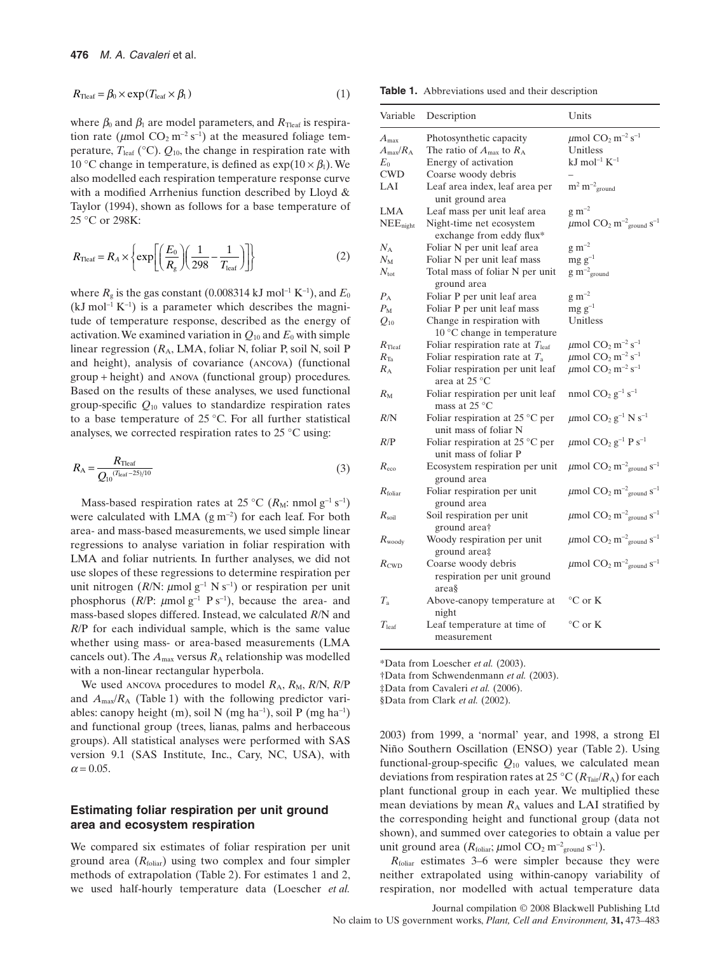$$
R_{\text{Teaf}} = \beta_0 \times \exp(T_{\text{leaf}} \times \beta_1) \tag{1}
$$

where  $\beta_0$  and  $\beta_1$  are model parameters, and  $R_{\text{Teaf}}$  is respiration rate ( $\mu$ mol CO<sub>2</sub> m<sup>-2</sup> s<sup>-1</sup>) at the measured foliage temperature,  $T_{\text{leaf}}$  (°C).  $Q_{10}$ , the change in respiration rate with 10 °C change in temperature, is defined as  $\exp(10 \times \beta_1)$ . We also modelled each respiration temperature response curve with a modified Arrhenius function described by Lloyd & Taylor (1994), shown as follows for a base temperature of 25 °C or 298K:

$$
R_{\text{Teaf}} = R_A \times \left\{ \exp\left[ \left( \frac{E_0}{R_g} \right) \left( \frac{1}{298} - \frac{1}{T_{\text{leaf}}} \right) \right] \right\} \tag{2}
$$

where  $R_{\rm g}$  is the gas constant (0.008314 kJ mol<sup>-1</sup> K<sup>-1</sup>), and  $E_0$  $(kJ \text{ mol}^{-1} K^{-1})$  is a parameter which describes the magnitude of temperature response, described as the energy of activation. We examined variation in  $Q_{10}$  and  $E_0$  with simple linear regression ( $R_A$ , LMA, foliar N, foliar P, soil N, soil P and height), analysis of covariance (ancova) (functional group + height) and anova (functional group) procedures. Based on the results of these analyses, we used functional group-specific *Q*<sup>10</sup> values to standardize respiration rates to a base temperature of 25 °C. For all further statistical analyses, we corrected respiration rates to 25 °C using:

$$
R_{\rm A} = \frac{R_{\rm Heat}}{Q_{10}^{(T_{\rm leaf} - 25)/10}}\tag{3}
$$

Mass-based respiration rates at 25 °C ( $R_M$ : nmol g<sup>-1</sup> s<sup>-1</sup>) were calculated with LMA  $(g m^{-2})$  for each leaf. For both area- and mass-based measurements, we used simple linear regressions to analyse variation in foliar respiration with LMA and foliar nutrients. In further analyses, we did not use slopes of these regressions to determine respiration per unit nitrogen ( $R/N$ :  $\mu$ mol  $g^{-1}$  N s<sup>-1</sup>) or respiration per unit phosphorus ( $R/P$ :  $\mu$ mol  $g^{-1}$  P s<sup>-1</sup>), because the area- and mass-based slopes differed. Instead, we calculated *R*/N and *R*/P for each individual sample, which is the same value whether using mass- or area-based measurements (LMA cancels out). The  $A_{\text{max}}$  versus  $R_A$  relationship was modelled with a non-linear rectangular hyperbola.

We used ANCOVA procedures to model  $R_A$ ,  $R_M$ ,  $R/N$ ,  $R/P$ and  $A_{\text{max}}/R_A$  (Table 1) with the following predictor variables: canopy height  $(m)$ , soil N  $(mg ha^{-1})$ , soil P  $(mg ha^{-1})$ and functional group (trees, lianas, palms and herbaceous groups). All statistical analyses were performed with SAS version 9.1 (SAS Institute, Inc., Cary, NC, USA), with  $\alpha$  = 0.05.

## **Estimating foliar respiration per unit ground area and ecosystem respiration**

We compared six estimates of foliar respiration per unit ground area  $(R_{\text{foliar}})$  using two complex and four simpler methods of extrapolation (Table 2). For estimates 1 and 2, we used half-hourly temperature data (Loescher *et al.*

**Table 1.** Abbreviations used and their description

| Variable                | Description                                                        | Units                                                                       |
|-------------------------|--------------------------------------------------------------------|-----------------------------------------------------------------------------|
| $A_{\rm max}$           | Photosynthetic capacity                                            | $\mu$ mol CO <sub>2</sub> m <sup>-2</sup> s <sup>-1</sup>                   |
| $A_{\rm max}/R_{\rm A}$ | The ratio of $A_{\text{max}}$ to $R_A$                             | Unitless                                                                    |
| $E_0$                   | Energy of activation                                               | kJ mol <sup>-1</sup> $K^{-1}$                                               |
| <b>CWD</b>              | Coarse woody debris                                                |                                                                             |
| LAI                     | Leaf area index, leaf area per<br>unit ground area                 | $m^2 m^{-2}$ <sub>ground</sub>                                              |
| <b>LMA</b>              | Leaf mass per unit leaf area                                       | $g \, \text{m}^{-2}$                                                        |
| NEE <sub>night</sub>    | Night-time net ecosystem<br>exchange from eddy flux*               | $\mu$ mol CO <sub>2</sub> m <sup>-2</sup> <sub>ground</sub> s <sup>-1</sup> |
| $N_{\rm A}$             | Foliar N per unit leaf area                                        | $\rm g~m^{-2}$                                                              |
| $N_{\rm M}$             | Foliar N per unit leaf mass                                        | $mg g^{-1}$                                                                 |
| $N_{\rm tot}$           | Total mass of foliar N per unit<br>ground area                     | $g m^{-2}$ <sub>ground</sub>                                                |
| $P_{\rm A}$             | Foliar P per unit leaf area                                        | $\rm g~m^{-2}$                                                              |
| $P_{\rm M}$             | Foliar P per unit leaf mass                                        | $mg g^{-1}$                                                                 |
| $Q_{10}$                | Change in respiration with<br>$10^{\circ}$ C change in temperature | Unitless                                                                    |
| $R_{\rm Tleaf}$         | Foliar respiration rate at $T_{\text{leaf}}$                       | $\mu$ mol CO <sub>2</sub> m <sup>-2</sup> s <sup>-1</sup>                   |
| $R_{\text{Ta}}$         | Foliar respiration rate at $T_a$                                   | $\mu$ mol CO <sub>2</sub> m <sup>-2</sup> s <sup>-1</sup>                   |
| $R_{\rm A}$             | Foliar respiration per unit leaf<br>area at 25 °C                  | $\mu$ mol CO <sub>2</sub> m <sup>-2</sup> s <sup>-1</sup>                   |
| $R_{\rm M}$             | Foliar respiration per unit leaf<br>mass at $25^{\circ}$ C         | nmol $CO_2$ $g^{-1}$ $s^{-1}$                                               |
| R/N                     | Foliar respiration at 25 $^{\circ}$ C per<br>unit mass of foliar N | $\mu$ mol CO <sub>2</sub> g <sup>-1</sup> N s <sup>-1</sup>                 |
| R/P                     | Foliar respiration at $25^{\circ}$ C per<br>unit mass of foliar P  | $\mu$ mol CO <sub>2</sub> g <sup>-1</sup> P s <sup>-1</sup>                 |
| $R_{\rm eco}$           | Ecosystem respiration per unit<br>ground area                      | $\mu$ mol CO <sub>2</sub> m <sup>-2</sup> <sub>ground</sub> s <sup>-1</sup> |
| $R_{\text{foliar}}$     | Foliar respiration per unit<br>ground area                         | $\mu$ mol CO <sub>2</sub> m <sup>-2</sup> <sub>ground</sub> s <sup>-1</sup> |
| $R_{\rm soil}$          | Soil respiration per unit<br>ground area†                          | $\mu$ mol CO <sub>2</sub> m <sup>-2</sup> <sub>ground</sub> s <sup>-1</sup> |
| $R_{\text{woody}}$      | Woody respiration per unit<br>ground area‡                         | $\mu$ mol CO <sub>2</sub> m <sup>-2</sup> <sub>ground</sub> s <sup>-1</sup> |
| $R_{\text{CWD}}$        | Coarse woody debris<br>respiration per unit ground<br>area§        | $\mu$ mol CO <sub>2</sub> m <sup>-2</sup> <sub>ground</sub> s <sup>-1</sup> |
| $T_{\rm a}$             | Above-canopy temperature at<br>night                               | $^{\circ}$ C or K                                                           |
| $T_{\text{leaf}}$       | Leaf temperature at time of<br>measurement                         | °C or K                                                                     |

\*Data from Loescher *et al.* (2003).

†Data from Schwendenmann *et al.* (2003).

‡Data from Cavaleri *et al.* (2006).

§Data from Clark *et al.* (2002).

2003) from 1999, a 'normal' year, and 1998, a strong El Niño Southern Oscillation (ENSO) year (Table 2). Using functional-group-specific *Q*<sup>10</sup> values, we calculated mean deviations from respiration rates at 25 °C ( $R_{\text{Tair}}/R_A$ ) for each plant functional group in each year. We multiplied these mean deviations by mean  $R_A$  values and LAI stratified by the corresponding height and functional group (data not shown), and summed over categories to obtain a value per unit ground area  $(R_{\text{foliar}}; \mu \text{mol} \text{ CO}_2 \text{ m}^{-2}_{\text{ground}} \text{ s}^{-1}).$ 

*R*foliar estimates 3–6 were simpler because they were neither extrapolated using within-canopy variability of respiration, nor modelled with actual temperature data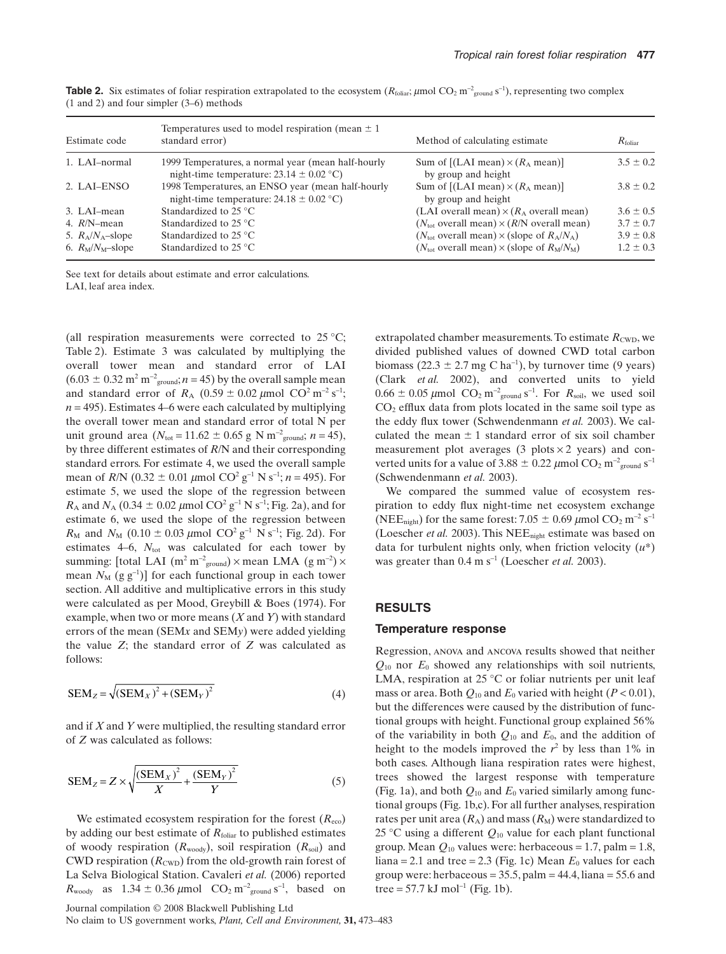| Estimate code       | Temperatures used to model respiration (mean $\pm 1$ )<br>standard error)                          | Method of calculating estimate.                                | $R_{\text{foliar}}$ |
|---------------------|----------------------------------------------------------------------------------------------------|----------------------------------------------------------------|---------------------|
| 1. LAI-normal       | 1999 Temperatures, a normal year (mean half-hourly<br>night-time temperature: $23.14 \pm 0.02$ °C) | Sum of $[(LAI mean) \times (R_A mean)]$<br>by group and height | $3.5 \pm 0.2$       |
| 2. LAI-ENSO         | 1998 Temperatures, an ENSO year (mean half-hourly<br>night-time temperature: $24.18 \pm 0.02$ °C)  | Sum of $[(LAI mean) \times (R_A mean)]$<br>by group and height | $3.8 \pm 0.2$       |
| 3. LAI-mean         | Standardized to $25^{\circ}$ C                                                                     | (LAI overall mean) $\times (R_A)$ overall mean)                | $3.6 \pm 0.5$       |
| 4. $R/N$ -mean      | Standardized to $25^{\circ}$ C                                                                     | $(N_{tot}$ overall mean) $\times$ (R/N overall mean)           | $3.7 \pm 0.7$       |
| 5. $R_A/N_A$ -slope | Standardized to $25^{\circ}$ C                                                                     | $(N_{\text{tot}}$ overall mean) $\times$ (slope of $R_A/N_A$ ) | $3.9 \pm 0.8$       |
| 6. $R_M/N_M$ -slope | Standardized to $25^{\circ}$ C                                                                     | $(N_{\text{tot}}$ overall mean) $\times$ (slope of $R_M/N_M$ ) | $1.2 \pm 0.3$       |

**Table 2.** Six estimates of foliar respiration extrapolated to the ecosystem  $(R_{\text{folia}}; \mu \text{mol } CO_2 \text{ m}^{-2}_{\text{ground}} \text{s}^{-1})$ , representing two complex (1 and 2) and four simpler (3–6) methods

See text for details about estimate and error calculations. LAI, leaf area index.

(all respiration measurements were corrected to 25 °C; Table 2). Estimate 3 was calculated by multiplying the overall tower mean and standard error of LAI  $(6.03 \pm 0.32 \text{ m}^2 \text{ m}^{-2} \text{ground}; n = 45)$  by the overall sample mean and standard error of  $R_A$  (0.59  $\pm$  0.02  $\mu$ mol CO<sup>2</sup> m<sup>-2</sup> s<sup>-1</sup>;  $n = 495$ ). Estimates 4–6 were each calculated by multiplying the overall tower mean and standard error of total N per unit ground area  $(N_{\text{tot}} = 11.62 \pm 0.65 \text{ g N m}^{-2}_{\text{ground}}; n = 45)$ , by three different estimates of *R*/N and their corresponding standard errors. For estimate 4, we used the overall sample mean of *R*/N (0.32  $\pm$  0.01  $\mu$ mol CO<sup>2</sup> g<sup>-1</sup> N s<sup>-1</sup>; *n* = 495). For estimate 5, we used the slope of the regression between  $R_A$  and  $N_A$  (0.34  $\pm$  0.02  $\mu$ mol CO<sup>2</sup> g<sup>-1</sup> N s<sup>-1</sup>; Fig. 2a), and for estimate 6, we used the slope of the regression between  $R_M$  and  $N_M$  (0.10  $\pm$  0.03  $\mu$ mol CO<sup>2</sup> g<sup>-1</sup> N s<sup>-1</sup>; Fig. 2d). For estimates  $4-6$ ,  $N_{\text{tot}}$  was calculated for each tower by summing: [total LAI (m<sup>2</sup> m<sup>-2</sup><sub>ground</sub>)  $\times$  mean LMA (g m<sup>-2</sup>)  $\times$ mean  $N_M$  (g  $g^{-1}$ )] for each functional group in each tower section. All additive and multiplicative errors in this study were calculated as per Mood, Greybill & Boes (1974). For example, when two or more means (*X* and *Y*) with standard errors of the mean (SEM*x* and SEM*y*) were added yielding the value *Z*; the standard error of *Z* was calculated as follows:

$$
SEM_Z = \sqrt{(SEM_X)^2 + (SEM_Y)^2}
$$
 (4)

and if *X* and *Y* were multiplied, the resulting standard error of *Z* was calculated as follows:

$$
SEM_Z = Z \times \sqrt{\frac{\left(SEM_X\right)^2}{X} + \frac{\left(SEM_Y\right)^2}{Y}}
$$
 (5)

We estimated ecosystem respiration for the forest  $(R_{\text{eco}})$ by adding our best estimate of *R*<sub>foliar</sub> to published estimates of woody respiration (*R*woody), soil respiration (*R*soil) and CWD respiration  $(R_{\text{CWD}})$  from the old-growth rain forest of La Selva Biological Station. Cavaleri *et al.* (2006) reported  $R_{\text{woody}}$  as  $1.34 \pm 0.36 \,\mu\text{mol}$  CO<sub>2</sub> m<sup>-2</sup><sub>ground</sub> s<sup>-1</sup>, based on

Journal compilation © 2008 Blackwell Publishing Ltd No claim to US government works, *Plant, Cell and Environment,* **31,** 473–483

extrapolated chamber measurements. To estimate  $R_{\text{CWD}}$ , we divided published values of downed CWD total carbon biomass  $(22.3 \pm 2.7 \text{ mg C ha}^{-1})$ , by turnover time  $(9 \text{ years})$ (Clark *et al.* 2002), and converted units to yield  $0.66 \pm 0.05 \,\mu$ mol CO<sub>2</sub> m<sup>-2</sup><sub>ground</sub> s<sup>-1</sup>. For  $R_{\text{soil}}$ , we used soil  $CO<sub>2</sub>$  efflux data from plots located in the same soil type as the eddy flux tower (Schwendenmann *et al.* 2003). We calculated the mean  $\pm 1$  standard error of six soil chamber measurement plot averages (3 plots  $\times$  2 years) and converted units for a value of  $3.88 \pm 0.22 \ \mu$ mol CO<sub>2</sub> m<sup>-2</sup><sub>ground</sub> s<sup>-1</sup> (Schwendenmann *et al.* 2003).

We compared the summed value of ecosystem respiration to eddy flux night-time net ecosystem exchange (NEE<sub>night</sub>) for the same forest:  $7.05 \pm 0.69 \ \mu$ mol CO<sub>2</sub> m<sup>-2</sup> s<sup>-1</sup> (Loescher *et al.* 2003). This NEE<sub>night</sub> estimate was based on data for turbulent nights only, when friction velocity (*u*\*) was greater than  $0.4 \text{ m s}^{-1}$  (Loescher *et al.* 2003).

# **RESULTS**

#### **Temperature response**

Regression, anova and ancova results showed that neither *Q*<sup>10</sup> nor *E*<sup>0</sup> showed any relationships with soil nutrients, LMA, respiration at 25 °C or foliar nutrients per unit leaf mass or area. Both  $Q_{10}$  and  $E_0$  varied with height ( $P < 0.01$ ), but the differences were caused by the distribution of functional groups with height. Functional group explained 56% of the variability in both *Q*<sup>10</sup> and *E*0, and the addition of height to the models improved the  $r^2$  by less than 1% in both cases. Although liana respiration rates were highest, trees showed the largest response with temperature (Fig. 1a), and both  $Q_{10}$  and  $E_0$  varied similarly among functional groups (Fig. 1b,c). For all further analyses, respiration rates per unit area  $(R_A)$  and mass  $(R_M)$  were standardized to 25 °C using a different *Q*<sup>10</sup> value for each plant functional group. Mean  $Q_{10}$  values were: herbaceous = 1.7, palm = 1.8, liana = 2.1 and tree = 2.3 (Fig. 1c) Mean  $E_0$  values for each group were: herbaceous =  $35.5$ , palm =  $44.4$ , liana =  $55.6$  and tree = 57.7 kJ mol<sup>-1</sup> (Fig. 1b).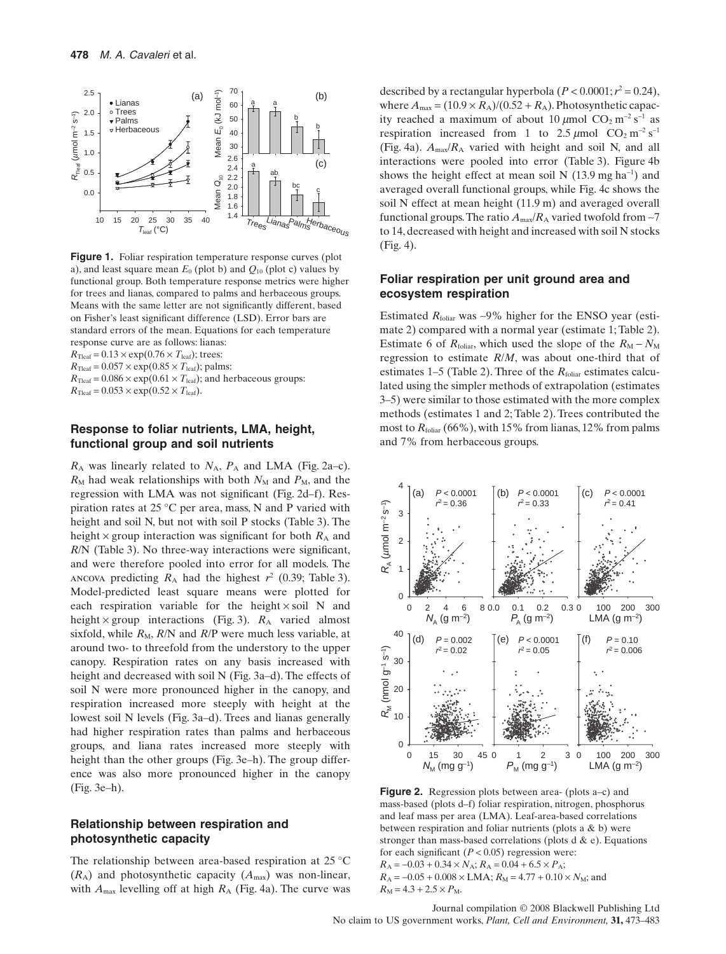

**Figure 1.** Foliar respiration temperature response curves (plot a), and least square mean  $E_0$  (plot b) and  $Q_{10}$  (plot c) values by functional group. Both temperature response metrics were higher for trees and lianas, compared to palms and herbaceous groups. Means with the same letter are not significantly different, based on Fisher's least significant difference (LSD). Error bars are standard errors of the mean. Equations for each temperature response curve are as follows: lianas:  $R_{\text{Teaf}} = 0.13 \times \exp(0.76 \times T_{\text{leaf}})$ ; trees:  $R_{\text{Teaf}} = 0.057 \times \exp(0.85 \times T_{\text{leaf}})$ ; palms:

 $R_{\text{Teaf}} = 0.086 \times \exp(0.61 \times T_{\text{leaf}})$ ; and herbaceous groups:  $R_{\text{Teaf}} = 0.053 \times \exp(0.52 \times T_{\text{leaf}}).$ 

## **Response to foliar nutrients, LMA, height, functional group and soil nutrients**

 $R_A$  was linearly related to  $N_A$ ,  $P_A$  and LMA (Fig. 2a–c).  $R_M$  had weak relationships with both  $N_M$  and  $P_M$ , and the regression with LMA was not significant (Fig. 2d–f). Respiration rates at 25 °C per area, mass, N and P varied with height and soil N, but not with soil P stocks (Table 3). The height  $\times$  group interaction was significant for both  $R_A$  and *R*/N (Table 3). No three-way interactions were significant, and were therefore pooled into error for all models. The ancova predicting  $R_A$  had the highest  $r^2$  (0.39; Table 3). Model-predicted least square means were plotted for each respiration variable for the height  $\times$  soil N and height  $\times$  group interactions (Fig. 3).  $R_A$  varied almost sixfold, while  $R_M$ ,  $R/N$  and  $R/P$  were much less variable, at around two- to threefold from the understory to the upper canopy. Respiration rates on any basis increased with height and decreased with soil N (Fig. 3a–d). The effects of soil N were more pronounced higher in the canopy, and respiration increased more steeply with height at the lowest soil N levels (Fig. 3a–d). Trees and lianas generally had higher respiration rates than palms and herbaceous groups, and liana rates increased more steeply with height than the other groups (Fig. 3e–h). The group difference was also more pronounced higher in the canopy (Fig. 3e–h).

## **Relationship between respiration and photosynthetic capacity**

The relationship between area-based respiration at 25 °C  $(R_A)$  and photosynthetic capacity  $(A_{\text{max}})$  was non-linear, with  $A_{\text{max}}$  levelling off at high  $R_A$  (Fig. 4a). The curve was described by a rectangular hyperbola  $(P < 0.0001; r^2 = 0.24)$ , where  $A_{\text{max}} = (10.9 \times R_A)/(0.52 + R_A)$ . Photosynthetic capacity reached a maximum of about 10  $\mu$ mol CO<sub>2</sub> m<sup>-2</sup> s<sup>-1</sup> as respiration increased from 1 to  $2.5 \mu$ mol CO<sub>2</sub> m<sup>-2</sup> s<sup>-1</sup> (Fig. 4a).  $A_{\text{max}}/R_A$  varied with height and soil N, and all interactions were pooled into error (Table 3). Figure 4b shows the height effect at mean soil N  $(13.9 \text{ mg ha}^{-1})$  and averaged overall functional groups, while Fig. 4c shows the soil N effect at mean height (11.9 m) and averaged overall functional groups. The ratio  $A_{\text{max}}/R_A$  varied twofold from  $\sim$ 7 to 14, decreased with height and increased with soil N stocks (Fig. 4).

## **Foliar respiration per unit ground area and ecosystem respiration**

Estimated  $R_{\text{folar}}$  was  $\sim$ 9% higher for the ENSO year (estimate 2) compared with a normal year (estimate 1; Table 2). Estimate 6 of  $R_{\text{foliar}}$ , which used the slope of the  $R_M - N_M$ regression to estimate *R*/*M*, was about one-third that of estimates  $1-5$  (Table 2). Three of the  $R_{\text{foliar}}$  estimates calculated using the simpler methods of extrapolation (estimates 3–5) were similar to those estimated with the more complex methods (estimates 1 and 2; Table 2). Trees contributed the most to  $R_{\text{foliar}}$  (66%), with 15% from lianas, 12% from palms and 7% from herbaceous groups.



**Figure 2.** Regression plots between area- (plots a–c) and mass-based (plots d–f) foliar respiration, nitrogen, phosphorus and leaf mass per area (LMA). Leaf-area-based correlations between respiration and foliar nutrients (plots a & b) were stronger than mass-based correlations (plots d  $\&$  e). Equations for each significant  $(P < 0.05)$  regression were:  $R_A = -0.03 + 0.34 \times N_A$ ;  $R_A = 0.04 + 6.5 \times P_A$ ;  $R_A = -0.05 + 0.008 \times \text{LMA}$ ;  $R_M = 4.77 + 0.10 \times N_M$ ; and  $R_M = 4.3 + 2.5 \times P_M$ .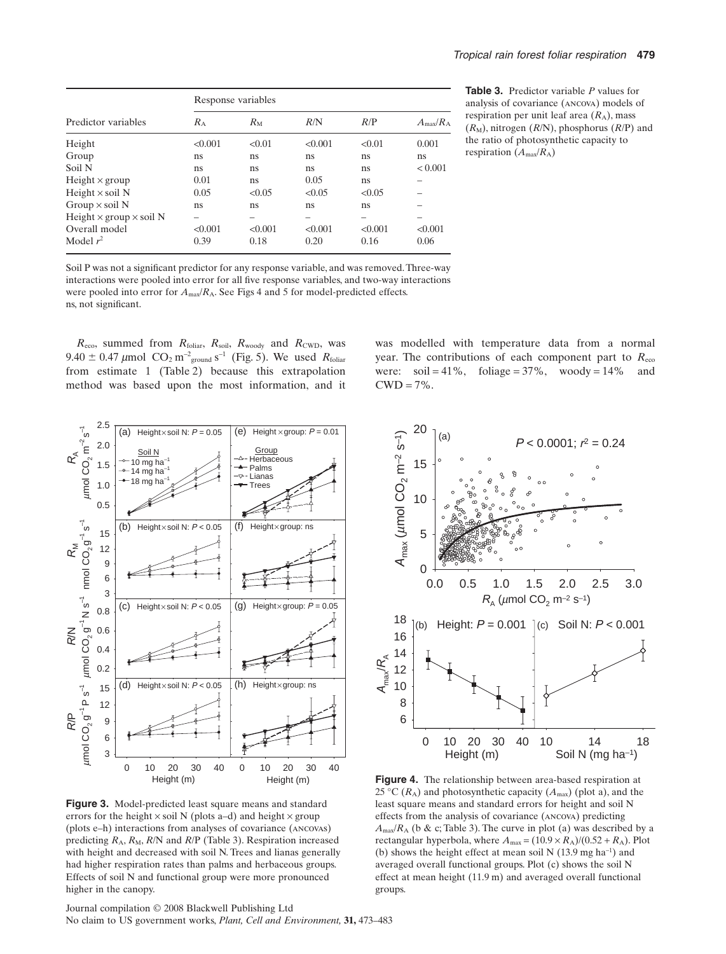|                                       | Response variables |             |         |         |                   |  |
|---------------------------------------|--------------------|-------------|---------|---------|-------------------|--|
| Predictor variables                   | $R_{\rm A}$        | $R_{\rm M}$ | R/N     | R/P     | $A_{\rm max}/R_A$ |  |
| Height                                | < 0.001            | < 0.01      | < 0.001 | < 0.01  | 0.001             |  |
| Group                                 | ns                 | ns          | ns      | ns      | ns                |  |
| Soil N                                | ns                 | ns          | ns      | ns      | < 0.001           |  |
| Height $\times$ group                 | 0.01               | ns          | 0.05    | ns      |                   |  |
| Height $\times$ soil N                | 0.05               | < 0.05      | < 0.05  | < 0.05  |                   |  |
| Group $\times$ soil N                 | ns                 | ns          | ns      | ns      |                   |  |
| Height $\times$ group $\times$ soil N | -                  | -           | -       | -       |                   |  |
| Overall model                         | < 0.001            | < 0.001     | < 0.001 | < 0.001 | < 0.001           |  |
| Model $r^2$                           | 0.39               | 0.18        | 0.20    | 0.16    | 0.06              |  |

**Table 3.** Predictor variable *P* values for analysis of covariance (ancova) models of respiration per unit leaf area  $(R_A)$ , mass  $(R_M)$ , nitrogen  $(R/N)$ , phosphorus  $(R/P)$  and the ratio of photosynthetic capacity to respiration (*A*max/*R*A)

Soil P was not a significant predictor for any response variable, and was removed.Three-way interactions were pooled into error for all five response variables, and two-way interactions were pooled into error for *A*max/*R*A. See Figs 4 and 5 for model-predicted effects. ns, not significant.

*R*eco, summed from *R*foliar, *R*soil, *R*woody and *R*CWD, was  $9.40 \pm 0.47 \,\mu$ mol  $\text{CO}_2 \text{ m}^2$ <sub>ground</sub> s<sup>-1</sup> (Fig. 5). We used  $R_{\text{foliar}}$ from estimate 1 (Table 2) because this extrapolation method was based upon the most information, and it was modelled with temperature data from a normal year. The contributions of each component part to  $R_{\text{eco}}$ were: soil = 41%, foliage =  $37\%$ , woody =  $14\%$  and  $CWD = 7\%$ .



**Figure 3.** Model-predicted least square means and standard errors for the height  $\times$  soil N (plots a–d) and height  $\times$  group (plots e–h) interactions from analyses of covariance (ancovas) predicting  $R_A$ ,  $R_M$ ,  $R/N$  and  $R/P$  (Table 3). Respiration increased with height and decreased with soil N. Trees and lianas generally had higher respiration rates than palms and herbaceous groups. Effects of soil N and functional group were more pronounced higher in the canopy.

Journal compilation © 2008 Blackwell Publishing Ltd No claim to US government works, *Plant, Cell and Environment,* **31,** 473–483



**Figure 4.** The relationship between area-based respiration at 25 °C ( $R_A$ ) and photosynthetic capacity ( $A_{\text{max}}$ ) (plot a), and the least square means and standard errors for height and soil N effects from the analysis of covariance (ancova) predicting  $A_{\text{max}}/R_A$  (b & c; Table 3). The curve in plot (a) was described by a rectangular hyperbola, where  $A_{\text{max}} = (10.9 \times R_A)/(0.52 + R_A)$ . Plot (b) shows the height effect at mean soil N  $(13.9 \text{ mg ha}^{-1})$  and averaged overall functional groups. Plot (c) shows the soil N effect at mean height (11.9 m) and averaged overall functional groups.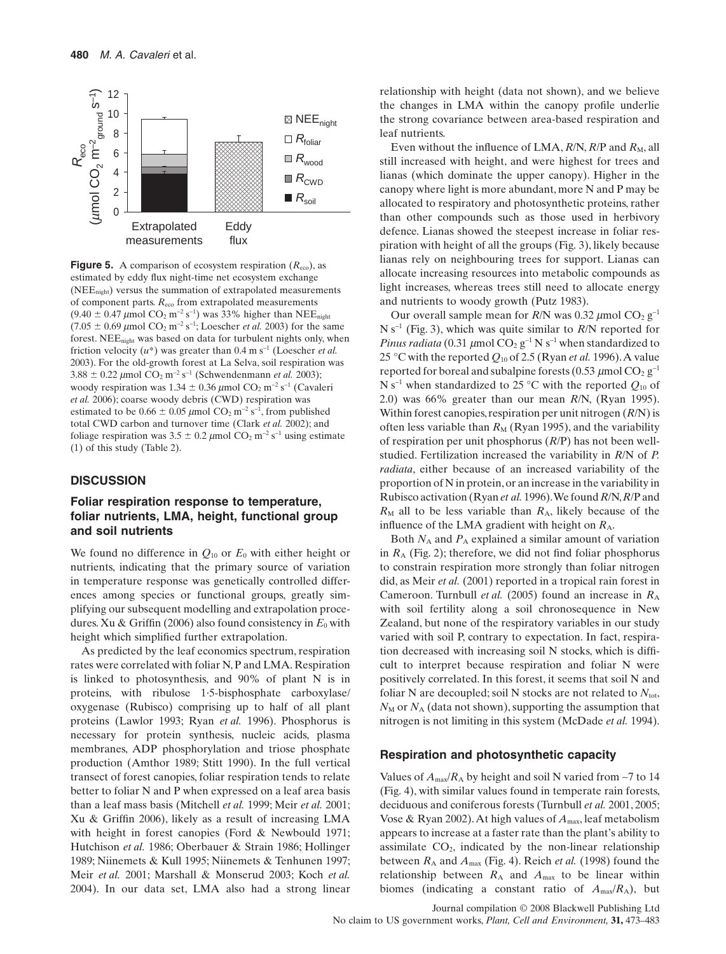

**Figure 5.** A comparison of ecosystem respiration  $(R_{\text{ceo}})$ , as estimated by eddy flux night-time net ecosystem exchange (NEEnight) versus the summation of extrapolated measurements of component parts. *R*eco from extrapolated measurements  $(9.40 \pm 0.47 \,\mu\text{mol} \, \text{CO}_2 \, \text{m}^{-2} \, \text{s}^{-1})$  was 33% higher than NEE<sub>night</sub>  $(7.05 \pm 0.69 \,\mu\text{mol } CO_2 \,\text{m}^{-2} \,\text{s}^{-1}$ ; Loescher *et al.* 2003) for the same forest. NEE<sub>night</sub> was based on data for turbulent nights only, when friction velocity  $(u^*)$  was greater than 0.4 m s<sup>-1</sup> (Loescher *et al.*) 2003). For the old-growth forest at La Selva, soil respiration was  $3.88 \pm 0.22 \ \mu \text{mol} \ CO_2 \ \text{m}^{-2} \ \text{s}^{-1} \ \text{(Schwendenmann } et \ al. \ 2003);$ woody respiration was  $1.34 \pm 0.36 \,\mu$ mol CO<sub>2</sub> m<sup>-2</sup> s<sup>-1</sup> (Cavaleri *et al.* 2006); coarse woody debris (CWD) respiration was estimated to be  $0.66 \pm 0.05 \ \mu \text{mol}$  CO<sub>2</sub> m<sup>-2</sup> s<sup>-1</sup>, from published total CWD carbon and turnover time (Clark *et al.* 2002); and foliage respiration was  $3.5 \pm 0.2 \,\mu$ mol CO<sub>2</sub> m<sup>-2</sup> s<sup>-1</sup> using estimate (1) of this study (Table 2).

#### **DISCUSSION**

# **Foliar respiration response to temperature, foliar nutrients, LMA, height, functional group and soil nutrients**

We found no difference in  $O_{10}$  or  $E_0$  with either height or nutrients, indicating that the primary source of variation in temperature response was genetically controlled differences among species or functional groups, greatly simplifying our subsequent modelling and extrapolation procedures. Xu & Griffin (2006) also found consistency in  $E_0$  with height which simplified further extrapolation.

As predicted by the leaf economics spectrum, respiration rates were correlated with foliar N, P and LMA. Respiration is linked to photosynthesis, and 90% of plant N is in proteins, with ribulose 1·5-bisphosphate carboxylase/ oxygenase (Rubisco) comprising up to half of all plant proteins (Lawlor 1993; Ryan *et al.* 1996). Phosphorus is necessary for protein synthesis, nucleic acids, plasma membranes, ADP phosphorylation and triose phosphate production (Amthor 1989; Stitt 1990). In the full vertical transect of forest canopies, foliar respiration tends to relate better to foliar N and P when expressed on a leaf area basis than a leaf mass basis (Mitchell *et al.* 1999; Meir *et al.* 2001; Xu & Griffin 2006), likely as a result of increasing LMA with height in forest canopies (Ford & Newbould 1971; Hutchison *et al.* 1986; Oberbauer & Strain 1986; Hollinger 1989; Niinemets & Kull 1995; Niinemets & Tenhunen 1997; Meir *et al.* 2001; Marshall & Monserud 2003; Koch *et al.* 2004). In our data set, LMA also had a strong linear

relationship with height (data not shown), and we believe the changes in LMA within the canopy profile underlie the strong covariance between area-based respiration and leaf nutrients.

Even without the influence of LMA,  $R/N$ ,  $R/P$  and  $R_M$ , all still increased with height, and were highest for trees and lianas (which dominate the upper canopy). Higher in the canopy where light is more abundant, more N and P may be allocated to respiratory and photosynthetic proteins, rather than other compounds such as those used in herbivory defence. Lianas showed the steepest increase in foliar respiration with height of all the groups (Fig. 3), likely because lianas rely on neighbouring trees for support. Lianas can allocate increasing resources into metabolic compounds as light increases, whereas trees still need to allocate energy and nutrients to woody growth (Putz 1983).

Our overall sample mean for  $R/N$  was 0.32  $\mu$ mol CO<sub>2</sub> g<sup>-1</sup>  $N s^{-1}$  (Fig. 3), which was quite similar to *R*/N reported for *Pinus radiata* (0.31  $\mu$ mol CO<sub>2</sub> g<sup>-1</sup> N s<sup>-1</sup> when standardized to 25 °C with the reported  $Q_{10}$  of 2.5 (Ryan *et al.* 1996). A value reported for boreal and subalpine forests (0.53  $\mu$ mol CO<sub>2</sub> g<sup>-1</sup> N s<sup>-1</sup> when standardized to 25 °C with the reported  $Q_{10}$  of 2.0) was 66% greater than our mean *R*/N, (Ryan 1995). Within forest canopies, respiration per unit nitrogen (*R*/N) is often less variable than  $R_M$  (Ryan 1995), and the variability of respiration per unit phosphorus (*R*/P) has not been wellstudied. Fertilization increased the variability in *R*/N of *P. radiata*, either because of an increased variability of the proportion of N in protein, or an increase in the variability in Rubisco activation (Ryan *et al.* 1996).We found *R*/N,*R*/P and  $R_M$  all to be less variable than  $R_A$ , likely because of the influence of the LMA gradient with height on  $R_A$ .

Both  $N_A$  and  $P_A$  explained a similar amount of variation in  $R_A$  (Fig. 2); therefore, we did not find foliar phosphorus to constrain respiration more strongly than foliar nitrogen did, as Meir *et al.* (2001) reported in a tropical rain forest in Cameroon. Turnbull *et al.* (2005) found an increase in  $R_A$ with soil fertility along a soil chronosequence in New Zealand, but none of the respiratory variables in our study varied with soil P, contrary to expectation. In fact, respiration decreased with increasing soil N stocks, which is difficult to interpret because respiration and foliar N were positively correlated. In this forest, it seems that soil N and foliar N are decoupled; soil N stocks are not related to  $N_{\text{tot}}$ ,  $N_M$  or  $N_A$  (data not shown), supporting the assumption that nitrogen is not limiting in this system (McDade *et al.* 1994).

#### **Respiration and photosynthetic capacity**

Values of  $A_{\text{max}}/R_A$  by height and soil N varied from  $\sim$ 7 to 14 (Fig. 4), with similar values found in temperate rain forests, deciduous and coniferous forests (Turnbull *et al.* 2001, 2005; Vose & Ryan 2002).At high values of *A*max, leaf metabolism appears to increase at a faster rate than the plant's ability to assimilate CO2, indicated by the non-linear relationship between  $R_A$  and  $A_{\text{max}}$  (Fig. 4). Reich *et al.* (1998) found the relationship between  $R_A$  and  $A_{\text{max}}$  to be linear within biomes (indicating a constant ratio of  $A_{\text{max}}/R_A$ ), but

Journal compilation © 2008 Blackwell Publishing Ltd No claim to US government works, *Plant, Cell and Environment,* **31,** 473–483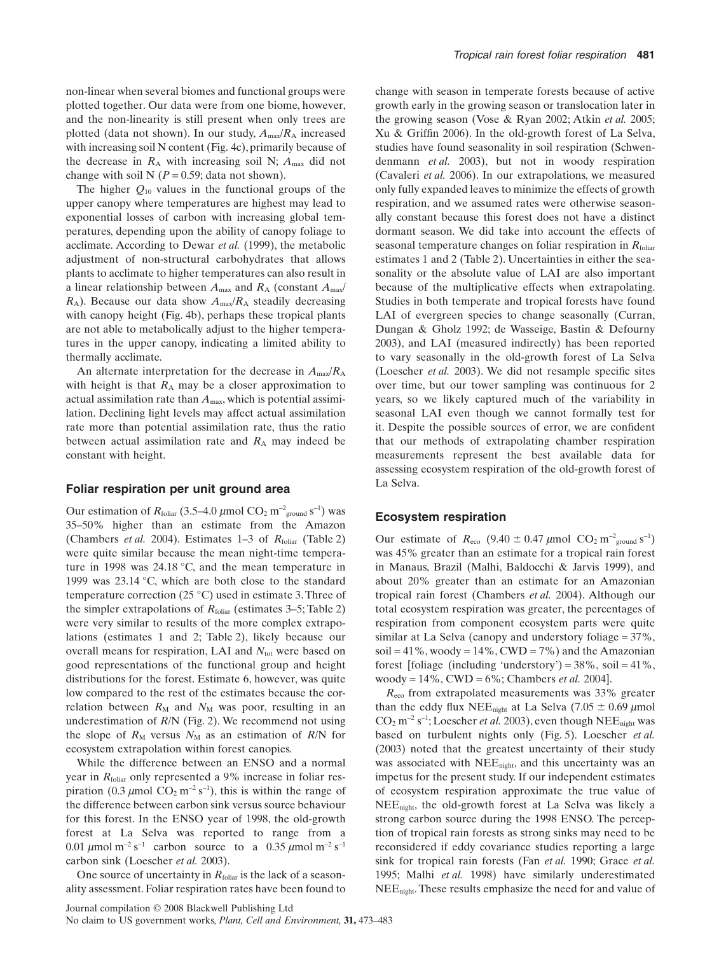non-linear when several biomes and functional groups were plotted together. Our data were from one biome, however, and the non-linearity is still present when only trees are plotted (data not shown). In our study,  $A_{\text{max}}/R_A$  increased with increasing soil N content (Fig. 4c), primarily because of the decrease in  $R_A$  with increasing soil N;  $A_{\text{max}}$  did not change with soil N  $(P = 0.59)$ ; data not shown).

The higher  $Q_{10}$  values in the functional groups of the upper canopy where temperatures are highest may lead to exponential losses of carbon with increasing global temperatures, depending upon the ability of canopy foliage to acclimate. According to Dewar *et al.* (1999), the metabolic adjustment of non-structural carbohydrates that allows plants to acclimate to higher temperatures can also result in a linear relationship between  $A_{\text{max}}$  and  $R_A$  (constant  $A_{\text{max}}/A$ *R*<sub>A</sub>). Because our data show  $A_{\text{max}}/R_A$  steadily decreasing with canopy height (Fig. 4b), perhaps these tropical plants are not able to metabolically adjust to the higher temperatures in the upper canopy, indicating a limited ability to thermally acclimate.

An alternate interpretation for the decrease in *A*max/*R*<sup>A</sup> with height is that  $R_A$  may be a closer approximation to actual assimilation rate than *A*max, which is potential assimilation. Declining light levels may affect actual assimilation rate more than potential assimilation rate, thus the ratio between actual assimilation rate and  $R_A$  may indeed be constant with height.

#### **Foliar respiration per unit ground area**

Our estimation of  $R_{\text{foliar}}$  (3.5–4.0  $\mu$ mol CO<sub>2</sub> m<sup>-2</sup><sub>ground</sub> s<sup>-1</sup>) was 35–50% higher than an estimate from the Amazon (Chambers *et al.* 2004). Estimates 1–3 of *R*foliar (Table 2) were quite similar because the mean night-time temperature in 1998 was 24.18 °C, and the mean temperature in 1999 was 23.14 °C, which are both close to the standard temperature correction (25 °C) used in estimate 3. Three of the simpler extrapolations of *R*<sub>foliar</sub> (estimates 3–5; Table 2) were very similar to results of the more complex extrapolations (estimates 1 and 2; Table 2), likely because our overall means for respiration, LAI and  $N_{\text{tot}}$  were based on good representations of the functional group and height distributions for the forest. Estimate 6, however, was quite low compared to the rest of the estimates because the correlation between  $R_M$  and  $N_M$  was poor, resulting in an underestimation of *R*/N (Fig. 2). We recommend not using the slope of  $R_M$  versus  $N_M$  as an estimation of  $R/N$  for ecosystem extrapolation within forest canopies.

While the difference between an ENSO and a normal year in *R*<sub>foliar</sub> only represented a 9% increase in foliar respiration (0.3  $\mu$ mol CO<sub>2</sub> m<sup>-2</sup> s<sup>-1</sup>), this is within the range of the difference between carbon sink versus source behaviour for this forest. In the ENSO year of 1998, the old-growth forest at La Selva was reported to range from a 0.01  $\mu$ mol m<sup>-2</sup> s<sup>-1</sup> carbon source to a 0.35  $\mu$ mol m<sup>-2</sup> s<sup>-1</sup> carbon sink (Loescher *et al.* 2003).

One source of uncertainty in  $R_{\text{folar}}$  is the lack of a seasonality assessment. Foliar respiration rates have been found to change with season in temperate forests because of active growth early in the growing season or translocation later in the growing season (Vose & Ryan 2002; Atkin *et al.* 2005; Xu & Griffin 2006). In the old-growth forest of La Selva, studies have found seasonality in soil respiration (Schwendenmann *et al.* 2003), but not in woody respiration (Cavaleri *et al.* 2006). In our extrapolations, we measured only fully expanded leaves to minimize the effects of growth respiration, and we assumed rates were otherwise seasonally constant because this forest does not have a distinct dormant season. We did take into account the effects of seasonal temperature changes on foliar respiration in *R*<sub>foliar</sub> estimates 1 and 2 (Table 2). Uncertainties in either the seasonality or the absolute value of LAI are also important because of the multiplicative effects when extrapolating. Studies in both temperate and tropical forests have found LAI of evergreen species to change seasonally (Curran, Dungan & Gholz 1992; de Wasseige, Bastin & Defourny 2003), and LAI (measured indirectly) has been reported to vary seasonally in the old-growth forest of La Selva (Loescher *et al.* 2003). We did not resample specific sites over time, but our tower sampling was continuous for 2 years, so we likely captured much of the variability in seasonal LAI even though we cannot formally test for it. Despite the possible sources of error, we are confident that our methods of extrapolating chamber respiration measurements represent the best available data for assessing ecosystem respiration of the old-growth forest of La Selva.

#### **Ecosystem respiration**

Our estimate of  $R_{\text{eco}}$  (9.40  $\pm$  0.47  $\mu$ mol CO<sub>2</sub> m<sup>-2</sup><sub>ground</sub> s<sup>-1</sup>) was 45% greater than an estimate for a tropical rain forest in Manaus, Brazil (Malhi, Baldocchi & Jarvis 1999), and about 20% greater than an estimate for an Amazonian tropical rain forest (Chambers *et al.* 2004). Although our total ecosystem respiration was greater, the percentages of respiration from component ecosystem parts were quite similar at La Selva (canopy and understory foliage = 37%, soil =  $41\%$ , woody =  $14\%$ , CWD =  $7\%$ ) and the Amazonian forest [foliage (including 'understory') =  $38\%$ , soil =  $41\%$ , woody = 14%, CWD = 6%; Chambers *et al.* 2004].

*R*eco from extrapolated measurements was 33% greater than the eddy flux NEE<sub>night</sub> at La Selva  $(7.05 \pm 0.69 \,\mu m$ ol  $CO<sub>2</sub>$  m<sup>-2</sup> s<sup>-1</sup>; Loescher *et al.* 2003), even though NEE<sub>night</sub> was based on turbulent nights only (Fig. 5). Loescher *et al.* (2003) noted that the greatest uncertainty of their study was associated with NEE<sub>night</sub>, and this uncertainty was an impetus for the present study. If our independent estimates of ecosystem respiration approximate the true value of NEEnight, the old-growth forest at La Selva was likely a strong carbon source during the 1998 ENSO. The perception of tropical rain forests as strong sinks may need to be reconsidered if eddy covariance studies reporting a large sink for tropical rain forests (Fan *et al.* 1990; Grace *et al.* 1995; Malhi *et al.* 1998) have similarly underestimated NEEnight. These results emphasize the need for and value of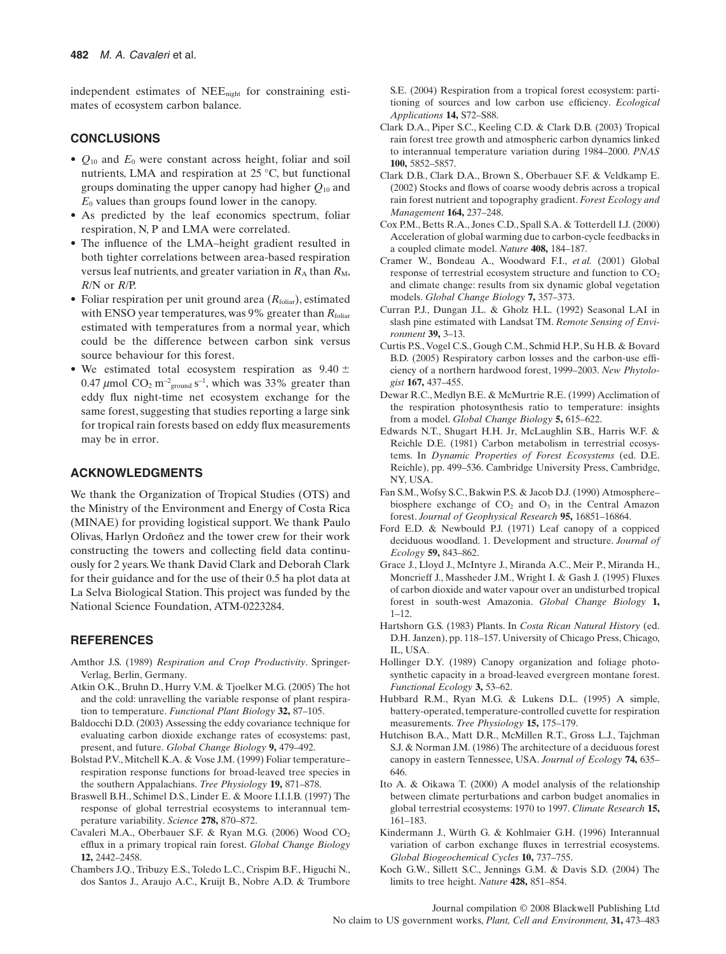independent estimates of NEEnight for constraining estimates of ecosystem carbon balance.

# **CONCLUSIONS**

- $Q_{10}$  and  $E_0$  were constant across height, foliar and soil nutrients, LMA and respiration at 25 °C, but functional groups dominating the upper canopy had higher *Q*<sup>10</sup> and  $E_0$  values than groups found lower in the canopy.
- As predicted by the leaf economics spectrum, foliar respiration, N, P and LMA were correlated.
- The influence of the LMA–height gradient resulted in both tighter correlations between area-based respiration versus leaf nutrients, and greater variation in  $R_A$  than  $R_M$ , *R*/N or *R*/P.
- Foliar respiration per unit ground area (*R*foliar), estimated with ENSO year temperatures, was 9% greater than *R*<sub>foliar</sub> estimated with temperatures from a normal year, which could be the difference between carbon sink versus source behaviour for this forest.
- We estimated total ecosystem respiration as  $9.40 \pm$ 0.47  $\mu$ mol CO<sub>2</sub> m<sup>-2</sup><sub>ground</sub> s<sup>-1</sup>, which was 33% greater than eddy flux night-time net ecosystem exchange for the same forest, suggesting that studies reporting a large sink for tropical rain forests based on eddy flux measurements may be in error.

# **ACKNOWLEDGMENTS**

We thank the Organization of Tropical Studies (OTS) and the Ministry of the Environment and Energy of Costa Rica (MINAE) for providing logistical support. We thank Paulo Olivas, Harlyn Ordoñez and the tower crew for their work constructing the towers and collecting field data continuously for 2 years.We thank David Clark and Deborah Clark for their guidance and for the use of their 0.5 ha plot data at La Selva Biological Station. This project was funded by the National Science Foundation, ATM-0223284.

# **REFERENCES**

- Amthor J.S. (1989) *Respiration and Crop Productivity*. Springer-Verlag, Berlin, Germany.
- Atkin O.K., Bruhn D., Hurry V.M. & Tjoelker M.G. (2005) The hot and the cold: unravelling the variable response of plant respiration to temperature. *Functional Plant Biology* **32,** 87–105.
- Baldocchi D.D. (2003) Assessing the eddy covariance technique for evaluating carbon dioxide exchange rates of ecosystems: past, present, and future. *Global Change Biology* **9,** 479–492.
- Bolstad P.V., Mitchell K.A. & Vose J.M. (1999) Foliar temperature– respiration response functions for broad-leaved tree species in the southern Appalachians. *Tree Physiology* **19,** 871–878.
- Braswell B.H., Schimel D.S., Linder E. & Moore I.I.I.B. (1997) The response of global terrestrial ecosystems to interannual temperature variability. *Science* **278,** 870–872.
- Cavaleri M.A., Oberbauer S.F. & Ryan M.G. (2006) Wood CO<sub>2</sub> efflux in a primary tropical rain forest. *Global Change Biology* **12,** 2442–2458.
- Chambers J.Q., Tribuzy E.S., Toledo L.C., Crispim B.F., Higuchi N., dos Santos J., Araujo A.C., Kruijt B., Nobre A.D. & Trumbore

S.E. (2004) Respiration from a tropical forest ecosystem: partitioning of sources and low carbon use efficiency. *Ecological Applications* **14,** S72–S88.

- Clark D.A., Piper S.C., Keeling C.D. & Clark D.B. (2003) Tropical rain forest tree growth and atmospheric carbon dynamics linked to interannual temperature variation during 1984–2000. *PNAS* **100,** 5852–5857.
- Clark D.B., Clark D.A., Brown S., Oberbauer S.F. & Veldkamp E. (2002) Stocks and flows of coarse woody debris across a tropical rain forest nutrient and topography gradient. *Forest Ecology and Management* **164,** 237–248.
- Cox P.M., Betts R.A., Jones C.D., Spall S.A. & Totterdell I.J. (2000) Acceleration of global warming due to carbon-cycle feedbacks in a coupled climate model. *Nature* **408,** 184–187.
- Cramer W., Bondeau A., Woodward F.I., *et al.* (2001) Global response of terrestrial ecosystem structure and function to  $CO<sub>2</sub>$ and climate change: results from six dynamic global vegetation models. *Global Change Biology* **7,** 357–373.
- Curran P.J., Dungan J.L. & Gholz H.L. (1992) Seasonal LAI in slash pine estimated with Landsat TM. *Remote Sensing of Environment* **39,** 3–13.
- Curtis P.S., Vogel C.S., Gough C.M., Schmid H.P., Su H.B. & Bovard B.D. (2005) Respiratory carbon losses and the carbon-use efficiency of a northern hardwood forest, 1999–2003. *New Phytologist* **167,** 437–455.
- Dewar R.C., Medlyn B.E. & McMurtrie R.E. (1999) Acclimation of the respiration photosynthesis ratio to temperature: insights from a model. *Global Change Biology* **5,** 615–622.
- Edwards N.T., Shugart H.H. Jr, McLaughlin S.B., Harris W.F. & Reichle D.E. (1981) Carbon metabolism in terrestrial ecosystems. In *Dynamic Properties of Forest Ecosystems* (ed. D.E. Reichle), pp. 499–536. Cambridge University Press, Cambridge, NY, USA.
- Fan S.M.,Wofsy S.C., Bakwin P.S. & Jacob D.J. (1990) Atmosphere– biosphere exchange of  $CO<sub>2</sub>$  and  $O<sub>3</sub>$  in the Central Amazon forest. *Journal of Geophysical Research* **95,** 16851–16864.
- Ford E.D. & Newbould P.J. (1971) Leaf canopy of a coppiced deciduous woodland. 1. Development and structure. *Journal of Ecology* **59,** 843–862.
- Grace J., Lloyd J., McIntyre J., Miranda A.C., Meir P., Miranda H., Moncrieff J., Massheder J.M., Wright I. & Gash J. (1995) Fluxes of carbon dioxide and water vapour over an undisturbed tropical forest in south-west Amazonia. *Global Change Biology* **1,** 1–12.
- Hartshorn G.S. (1983) Plants. In *Costa Rican Natural History* (ed. D.H. Janzen), pp. 118–157. University of Chicago Press, Chicago, IL, USA.
- Hollinger D.Y. (1989) Canopy organization and foliage photosynthetic capacity in a broad-leaved evergreen montane forest. *Functional Ecology* **3,** 53–62.
- Hubbard R.M., Ryan M.G. & Lukens D.L. (1995) A simple, battery-operated, temperature-controlled cuvette for respiration measurements. *Tree Physiology* **15,** 175–179.
- Hutchison B.A., Matt D.R., McMillen R.T., Gross L.J., Tajchman S.J. & Norman J.M. (1986) The architecture of a deciduous forest canopy in eastern Tennessee, USA. *Journal of Ecology* **74,** 635– 646.
- Ito A. & Oikawa T. (2000) A model analysis of the relationship between climate perturbations and carbon budget anomalies in global terrestrial ecosystems: 1970 to 1997. *Climate Research* **15,** 161–183.
- Kindermann J., Würth G. & Kohlmaier G.H. (1996) Interannual variation of carbon exchange fluxes in terrestrial ecosystems. *Global Biogeochemical Cycles* **10,** 737–755.
- Koch G.W., Sillett S.C., Jennings G.M. & Davis S.D. (2004) The limits to tree height. *Nature* **428,** 851–854.